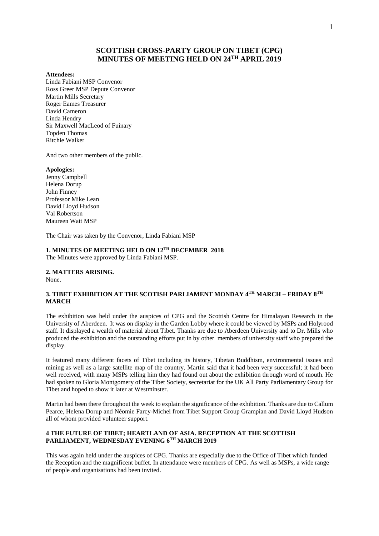## **SCOTTISH CROSS-PARTY GROUP ON TIBET (CPG) MINUTES OF MEETING HELD ON 24TH APRIL 2019**

#### **Attendees:**

Linda Fabiani MSP Convenor Ross Greer MSP Depute Convenor Martin Mills Secretary Roger Eames Treasurer David Cameron Linda Hendry Sir Maxwell MacLeod of Fuinary Topden Thomas Ritchie Walker

And two other members of the public.

#### **Apologies:**

Jenny Campbell Helena Dorup John Finney Professor Mike Lean David Lloyd Hudson Val Robertson Maureen Watt MSP

The Chair was taken by the Convenor, Linda Fabiani MSP

# **1. MINUTES OF MEETING HELD ON 12TH DECEMBER 2018**

The Minutes were approved by Linda Fabiani MSP.

# **2. MATTERS ARISING.**

None.

## **3. TIBET EXHIBITION AT THE SCOTISH PARLIAMENT MONDAY 4TH MARCH – FRIDAY 8TH MARCH**

The exhibition was held under the auspices of CPG and the Scottish Centre for Himalayan Research in the University of Aberdeen. It was on display in the Garden Lobby where it could be viewed by MSPs and Holyrood staff. It displayed a wealth of material about Tibet. Thanks are due to Aberdeen University and to Dr. Mills who produced the exhibition and the outstanding efforts put in by other members of university staff who prepared the display.

It featured many different facets of Tibet including its history, Tibetan Buddhism, environmental issues and mining as well as a large satellite map of the country. Martin said that it had been very successful; it had been well received, with many MSPs telling him they had found out about the exhibition through word of mouth. He had spoken to Gloria Montgomery of the Tibet Society, secretariat for the UK All Party Parliamentary Group for Tibet and hoped to show it later at Westminster.

Martin had been there throughout the week to explain the significance of the exhibition. Thanks are due to Callum Pearce, Helena Dorup and Néomie Farcy-Michel from Tibet Support Group Grampian and David Lloyd Hudson all of whom provided volunteer support.

### **4 THE FUTURE OF TIBET; HEARTLAND OF ASIA. RECEPTION AT THE SCOTTISH PARLIAMENT, WEDNESDAY EVENING 6TH MARCH 2019**

This was again held under the auspices of CPG. Thanks are especially due to the Office of Tibet which funded the Reception and the magnificent buffet. In attendance were members of CPG. As well as MSPs, a wide range of people and organisations had been invited.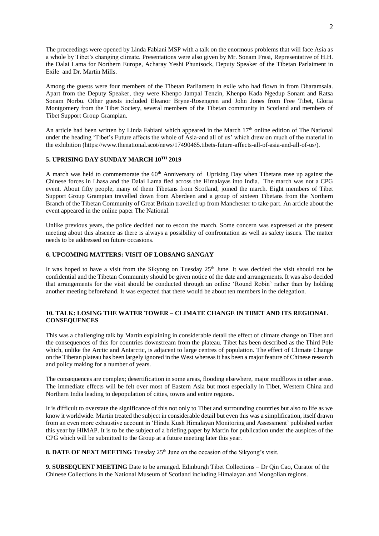The proceedings were opened by Linda Fabiani MSP with a talk on the enormous problems that will face Asia as a whole by Tibet's changing climate. Presentations were also given by Mr. Sonam Frasi, Representative of H.H. the Dalai Lama for Northern Europe, Acharay Yeshi Phuntsock, Deputy Speaker of the Tibetan Parlaiment in Exile and Dr. Martin Mills.

Among the guests were four members of the Tibetan Parliament in exile who had flown in from Dharamsala. Apart from the Deputy Speaker, they were Khenpo Jampal Tenzin, Khenpo Kada Ngedup Sonam and Ratsa Sonam Norbu. Other guests included Eleanor Bryne-Rosengren and John Jones from Free Tibet, Gloria Montgomery from the Tibet Society, several members of the Tibetan community in Scotland and members of Tibet Support Group Grampian.

An article had been written by Linda Fabiani which appeared in the March  $17<sup>th</sup>$  online edition of The National under the heading 'Tibet's Future affects the whole of Asia-and all of us' which drew on much of the material in the exhibition (https://www.thenational.scot/news/17490465.tibets-future-affects-all-of-asia-and-all-of-us/).

## **5. UPRISING DAY SUNDAY MARCH 10TH 2019**

A march was held to commemorate the 60<sup>th</sup> Anniversary of Uprising Day when Tibetans rose up against the Chinese forces in Lhasa and the Dalai Lama fled across the Himalayas into India. The march was not a CPG event. About fifty people, many of them Tibetans from Scotland, joined the march. Eight members of Tibet Support Group Grampian travelled down from Aberdeen and a group of sixteen Tibetans from the Northern Branch of the Tibetan Community of Great Britain travelled up from Manchester to take part. An article about the event appeared in the online paper The National.

Unlike previous years, the police decided not to escort the march. Some concern was expressed at the present meeting about this absence as there is always a possibility of confrontation as well as safety issues. The matter needs to be addressed on future occasions.

### **6. UPCOMING MATTERS: VISIT OF LOBSANG SANGAY**

It was hoped to have a visit from the Sikyong on Tuesday  $25<sup>th</sup>$  June. It was decided the visit should not be confidential and the Tibetan Community should be given notice of the date and arrangements. It was also decided that arrangements for the visit should be conducted through an online 'Round Robin' rather than by holding another meeting beforehand. It was expected that there would be about ten members in the delegation.

#### **10. TALK: LOSING THE WATER TOWER – CLIMATE CHANGE IN TIBET AND ITS REGIONAL CONSEQUENCES**

This was a challenging talk by Martin explaining in considerable detail the effect of climate change on Tibet and the consequences of this for countries downstream from the plateau. Tibet has been described as the Third Pole which, unlike the Arctic and Antarctic, is adjacent to large centres of population. The effect of Climate Change on the Tibetan plateau has been largely ignored in the West whereas it has been a major feature of Chinese research and policy making for a number of years.

The consequences are complex; desertification in some areas, flooding elsewhere, major mudflows in other areas. The immediate effects will be felt over most of Eastern Asia but most especially in Tibet, Western China and Northern India leading to depopulation of cities, towns and entire regions.

It is difficult to overstate the significance of this not only to Tibet and surrounding countries but also to life as we know it worldwide. Martin treated the subject in considerable detail but even this was a simplification, itself drawn from an even more exhaustive account in 'Hindu Kush Himalayan Monitoring and Assessment' published earlier this year by HIMAP. It is to be the subject of a briefing paper by Martin for publication under the auspices of the CPG which will be submitted to the Group at a future meeting later this year.

**8. DATE OF NEXT MEETING** Tuesday 25<sup>th</sup> June on the occasion of the Sikyong's visit.

**9. SUBSEQUENT MEETING** Date to be arranged. Edinburgh Tibet Collections – Dr Qin Cao, Curator of the Chinese Collections in the National Museum of Scotland including Himalayan and Mongolian regions.